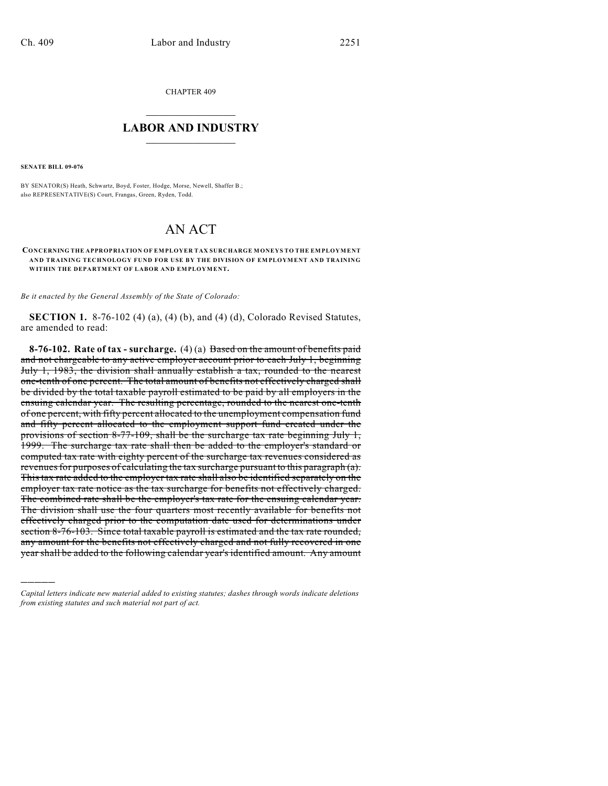CHAPTER 409

## $\overline{\phantom{a}}$  . The set of the set of the set of the set of the set of the set of the set of the set of the set of the set of the set of the set of the set of the set of the set of the set of the set of the set of the set o **LABOR AND INDUSTRY**  $\frac{1}{\sqrt{2}}$  ,  $\frac{1}{\sqrt{2}}$  ,  $\frac{1}{\sqrt{2}}$  ,  $\frac{1}{\sqrt{2}}$  ,  $\frac{1}{\sqrt{2}}$  ,  $\frac{1}{\sqrt{2}}$

**SENATE BILL 09-076**

)))))

BY SENATOR(S) Heath, Schwartz, Boyd, Foster, Hodge, Morse, Newell, Shaffer B.; also REPRESENTATIVE(S) Court, Frangas, Green, Ryden, Todd.

## AN ACT

## **CONCERNING THE APPROPRIATION OF EMPLOYER TAX SURCHARGE MONEYS TO THE EMPLOYMENT AND TRAINING TECHNOLOGY FUND FOR USE BY THE DIVISION OF EMPLOYMENT AND TRAINING WITHIN THE DEPARTMENT OF LABOR AND EMPLOYMENT.**

*Be it enacted by the General Assembly of the State of Colorado:*

**SECTION 1.** 8-76-102 (4) (a), (4) (b), and (4) (d), Colorado Revised Statutes, are amended to read:

**8-76-102. Rate of tax - surcharge.** (4) (a) Based on the amount of benefits paid and not chargeable to any active employer account prior to each July 1, beginning July 1, 1983, the division shall annually establish a tax, rounded to the nearest one-tenth of one percent. The total amount of benefits not effectively charged shall be divided by the total taxable payroll estimated to be paid by all employers in the ensuing calendar year. The resulting percentage, rounded to the nearest one-tenth of one percent, with fifty percent allocated to the unemployment compensation fund and fifty percent allocated to the employment support fund created under the provisions of section 8-77-109, shall be the surcharge tax rate beginning July 1, 1999. The surcharge tax rate shall then be added to the employer's standard or computed tax rate with eighty percent of the surcharge tax revenues considered as revenues for purposes of calculating the tax surcharge pursuant to this paragraph (a). This tax rate added to the employer tax rate shall also be identified separately on the employer tax rate notice as the tax surcharge for benefits not effectively charged. The combined rate shall be the employer's tax rate for the ensuing calendar year. The division shall use the four quarters most recently available for benefits not effectively charged prior to the computation date used for determinations under section 8-76-103. Since total taxable payroll is estimated and the tax rate rounded, any amount for the benefits not effectively charged and not fully recovered in one year shall be added to the following calendar year's identified amount. Any amount

*Capital letters indicate new material added to existing statutes; dashes through words indicate deletions from existing statutes and such material not part of act.*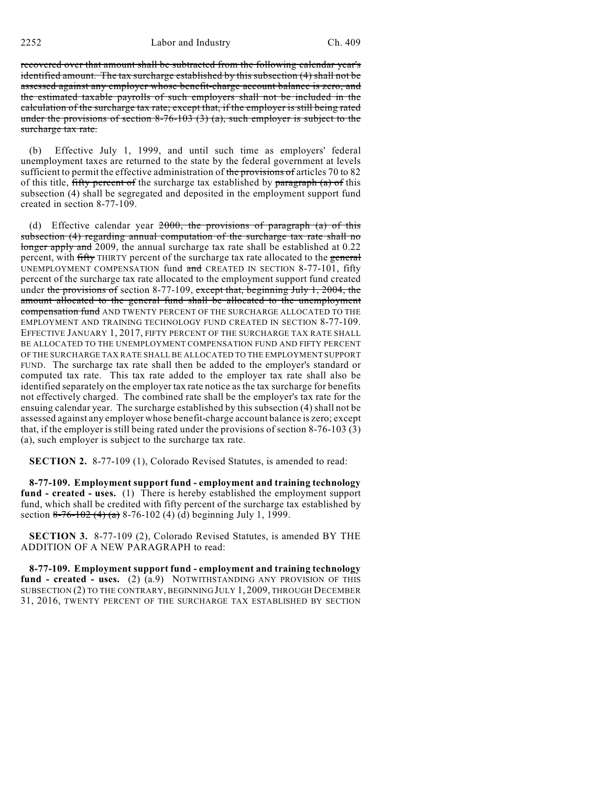2252 Labor and Industry Ch. 409

recovered over that amount shall be subtracted from the following calendar year's identified amount. The tax surcharge established by this subsection (4) shall not be assessed against any employer whose benefit-charge account balance is zero, and the estimated taxable payrolls of such employers shall not be included in the calculation of the surcharge tax rate; except that, if the employer is still being rated under the provisions of section  $8-76-103$  (3) (a), such employer is subject to the surcharge tax rate.

(b) Effective July 1, 1999, and until such time as employers' federal unemployment taxes are returned to the state by the federal government at levels sufficient to permit the effective administration of the provisions of articles 70 to 82 of this title, fifty percent of the surcharge tax established by paragraph (a) of this subsection (4) shall be segregated and deposited in the employment support fund created in section 8-77-109.

(d) Effective calendar year  $2000$ , the provisions of paragraph (a) of this subsection (4) regarding annual computation of the surcharge tax rate shall no longer apply and 2009, the annual surcharge tax rate shall be established at 0.22 percent, with fifty THIRTY percent of the surcharge tax rate allocated to the general UNEMPLOYMENT COMPENSATION fund and CREATED IN SECTION 8-77-101, fifty percent of the surcharge tax rate allocated to the employment support fund created under the provisions of section 8-77-109, except that, beginning July 1, 2004, the amount allocated to the general fund shall be allocated to the unemployment compensation fund AND TWENTY PERCENT OF THE SURCHARGE ALLOCATED TO THE EMPLOYMENT AND TRAINING TECHNOLOGY FUND CREATED IN SECTION 8-77-109. EFFECTIVE JANUARY 1, 2017, FIFTY PERCENT OF THE SURCHARGE TAX RATE SHALL BE ALLOCATED TO THE UNEMPLOYMENT COMPENSATION FUND AND FIFTY PERCENT OF THE SURCHARGE TAX RATE SHALL BE ALLOCATED TO THE EMPLOYMENT SUPPORT FUND. The surcharge tax rate shall then be added to the employer's standard or computed tax rate. This tax rate added to the employer tax rate shall also be identified separately on the employer tax rate notice as the tax surcharge for benefits not effectively charged. The combined rate shall be the employer's tax rate for the ensuing calendar year. The surcharge established by this subsection (4) shall not be assessed against any employer whose benefit-charge account balance is zero; except that, if the employer is still being rated under the provisions of section 8-76-103 (3) (a), such employer is subject to the surcharge tax rate.

**SECTION 2.** 8-77-109 (1), Colorado Revised Statutes, is amended to read:

**8-77-109. Employment support fund - employment and training technology fund - created - uses.** (1) There is hereby established the employment support fund, which shall be credited with fifty percent of the surcharge tax established by section 8-76-102 (4) (a) 8-76-102 (4) (d) beginning July 1, 1999.

**SECTION 3.** 8-77-109 (2), Colorado Revised Statutes, is amended BY THE ADDITION OF A NEW PARAGRAPH to read:

**8-77-109. Employment support fund - employment and training technology fund - created - uses.** (2) (a.9) NOTWITHSTANDING ANY PROVISION OF THIS SUBSECTION (2) TO THE CONTRARY, BEGINNING JULY 1, 2009, THROUGH DECEMBER 31, 2016, TWENTY PERCENT OF THE SURCHARGE TAX ESTABLISHED BY SECTION